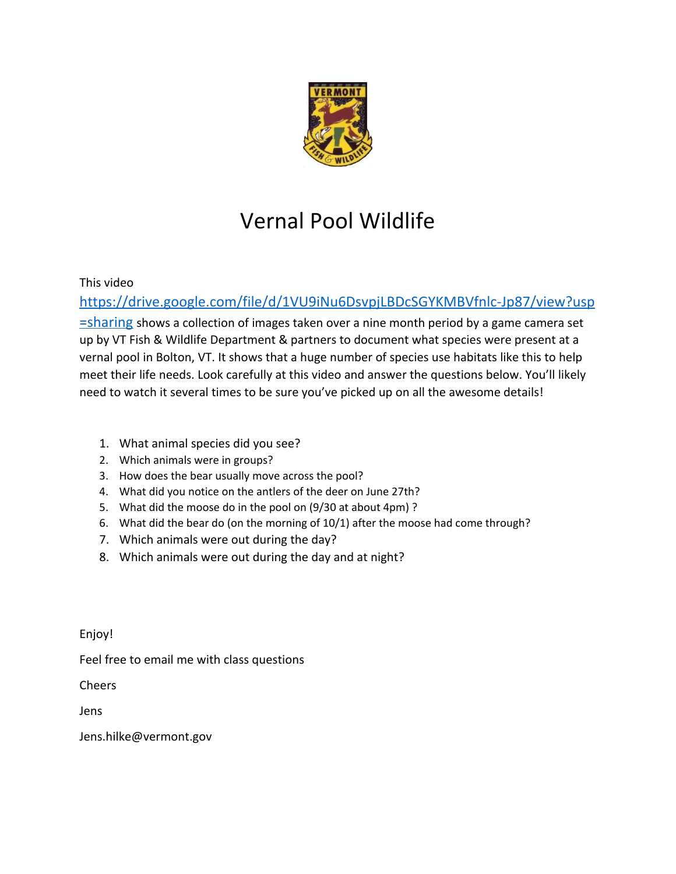

## Vernal Pool Wildlife

This video

[https://drive.google.com/file/d/1VU9iNu6DsvpjLBDcSGYKMBVfnlc-Jp87/view?usp](https://drive.google.com/file/d/1VU9iNu6DsvpjLBDcSGYKMBVfnlc-Jp87/view?usp=sharing)

[=sharing](https://drive.google.com/file/d/1VU9iNu6DsvpjLBDcSGYKMBVfnlc-Jp87/view?usp=sharing) shows a collection of images taken over a nine month period by a game camera set up by VT Fish & Wildlife Department & partners to document what species were present at a vernal pool in Bolton, VT. It shows that a huge number of species use habitats like this to help meet their life needs. Look carefully at this video and answer the questions below. You'll likely need to watch it several times to be sure you've picked up on all the awesome details!

- 1. What animal species did you see?
- 2. Which animals were in groups?
- 3. How does the bear usually move across the pool?
- 4. What did you notice on the antlers of the deer on June 27th?
- 5. What did the moose do in the pool on (9/30 at about 4pm) ?
- 6. What did the bear do (on the morning of 10/1) after the moose had come through?
- 7. Which animals were out during the day?
- 8. Which animals were out during the day and at night?

Enjoy!

Feel free to email me with class questions

Cheers

Jens

Jens.hilke@vermont.gov